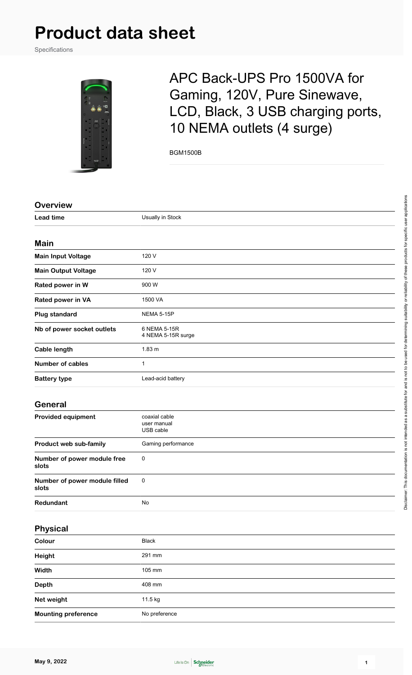# **Product data sheet**

Specifications



# APC Back-UPS Pro 1500VA for Gaming, 120V, Pure Sinewave, LCD, Black, 3 USB charging ports, 10 NEMA outlets (4 surge)

BGM1500B

| <b>Overview</b>                        |                                           |
|----------------------------------------|-------------------------------------------|
| <b>Lead time</b>                       | Usually in Stock                          |
|                                        |                                           |
| <b>Main</b>                            |                                           |
| <b>Main Input Voltage</b>              | 120 V                                     |
| <b>Main Output Voltage</b>             | 120 V                                     |
| Rated power in W                       | 900W                                      |
| Rated power in VA                      | 1500 VA                                   |
| <b>Plug standard</b>                   | NEMA 5-15P                                |
| Nb of power socket outlets             | 6 NEMA 5-15R<br>4 NEMA 5-15R surge        |
| <b>Cable length</b>                    | $1.83 \text{ m}$                          |
| <b>Number of cables</b>                | $\mathbf{1}$                              |
| <b>Battery type</b>                    | Lead-acid battery                         |
| <b>General</b>                         |                                           |
| <b>Provided equipment</b>              | coaxial cable<br>user manual<br>USB cable |
| Product web sub-family                 | Gaming performance                        |
| Number of power module free<br>slots   | $\mathbf 0$                               |
| Number of power module filled<br>slots | $\pmb{0}$                                 |
| Redundant                              | No                                        |
| <b>Physical</b>                        |                                           |
|                                        |                                           |

| Colour                     | Black         |
|----------------------------|---------------|
| Height                     | 291 mm        |
| Width                      | 105 mm        |
| Depth                      | 408 mm        |
| Net weight                 | 11.5 kg       |
| <b>Mounting preference</b> | No preference |

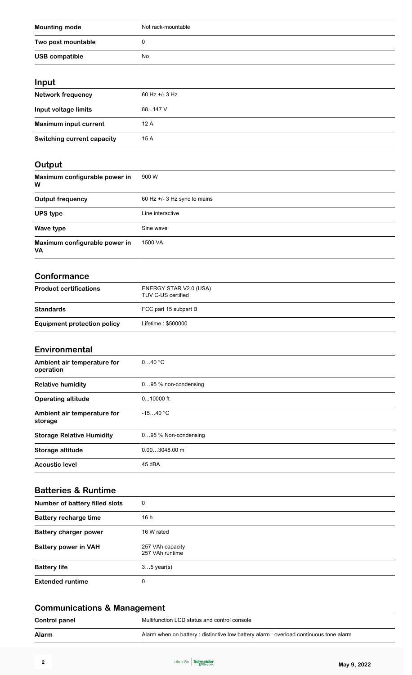| <b>Mounting mode</b>                       | Not rack-mountable                           |
|--------------------------------------------|----------------------------------------------|
| Two post mountable                         | 0                                            |
| <b>USB compatible</b>                      | No                                           |
|                                            |                                              |
| Input                                      |                                              |
| Network frequency                          | 60 Hz +/- 3 Hz                               |
| Input voltage limits                       | 88147 V                                      |
| <b>Maximum input current</b>               | 12 A                                         |
| <b>Switching current capacity</b>          | 15 A                                         |
|                                            |                                              |
| Output                                     | 900 W                                        |
| Maximum configurable power in<br>w         |                                              |
| <b>Output frequency</b>                    | 60 Hz +/- 3 Hz sync to mains                 |
| <b>UPS type</b>                            | Line interactive                             |
| Wave type                                  | Sine wave                                    |
| Maximum configurable power in<br><b>VA</b> | 1500 VA                                      |
| <b>Conformance</b>                         |                                              |
| <b>Product certifications</b>              | ENERGY STAR V2.0 (USA)<br>TUV C-US certified |
| <b>Standards</b>                           | FCC part 15 subpart B                        |
| <b>Equipment protection policy</b>         | Lifetime: \$500000                           |
|                                            |                                              |
| Environmental                              |                                              |
| Ambient air temperature for<br>operation   | $040$ °C                                     |
| <b>Relative humidity</b>                   | 095 % non-condensing                         |
| <b>Operating altitude</b>                  | $010000$ ft                                  |
| Ambient air temperature for<br>storage     | $-1540 °C$                                   |
| <b>Storage Relative Humidity</b>           | 095 % Non-condensing                         |
| Storage altitude                           | $0.003048.00 \text{ m}$                      |
| <b>Acoustic level</b>                      | 45 dBA                                       |
| <b>Batteries &amp; Runtime</b>             |                                              |
| Number of battery filled slots             | 0                                            |
| <b>Battery recharge time</b>               | 16 h                                         |
| <b>Battery charger power</b>               | 16 W rated                                   |
| <b>Battery power in VAH</b>                | 257 VAh capacity<br>257 VAh runtime          |
| <b>Battery life</b>                        | $35$ year(s)                                 |
| <b>Extended runtime</b>                    | 0                                            |

| Alarm<br>Alarm when on battery: distinctive low battery alarm: overload continuous tone alarm |  |
|-----------------------------------------------------------------------------------------------|--|